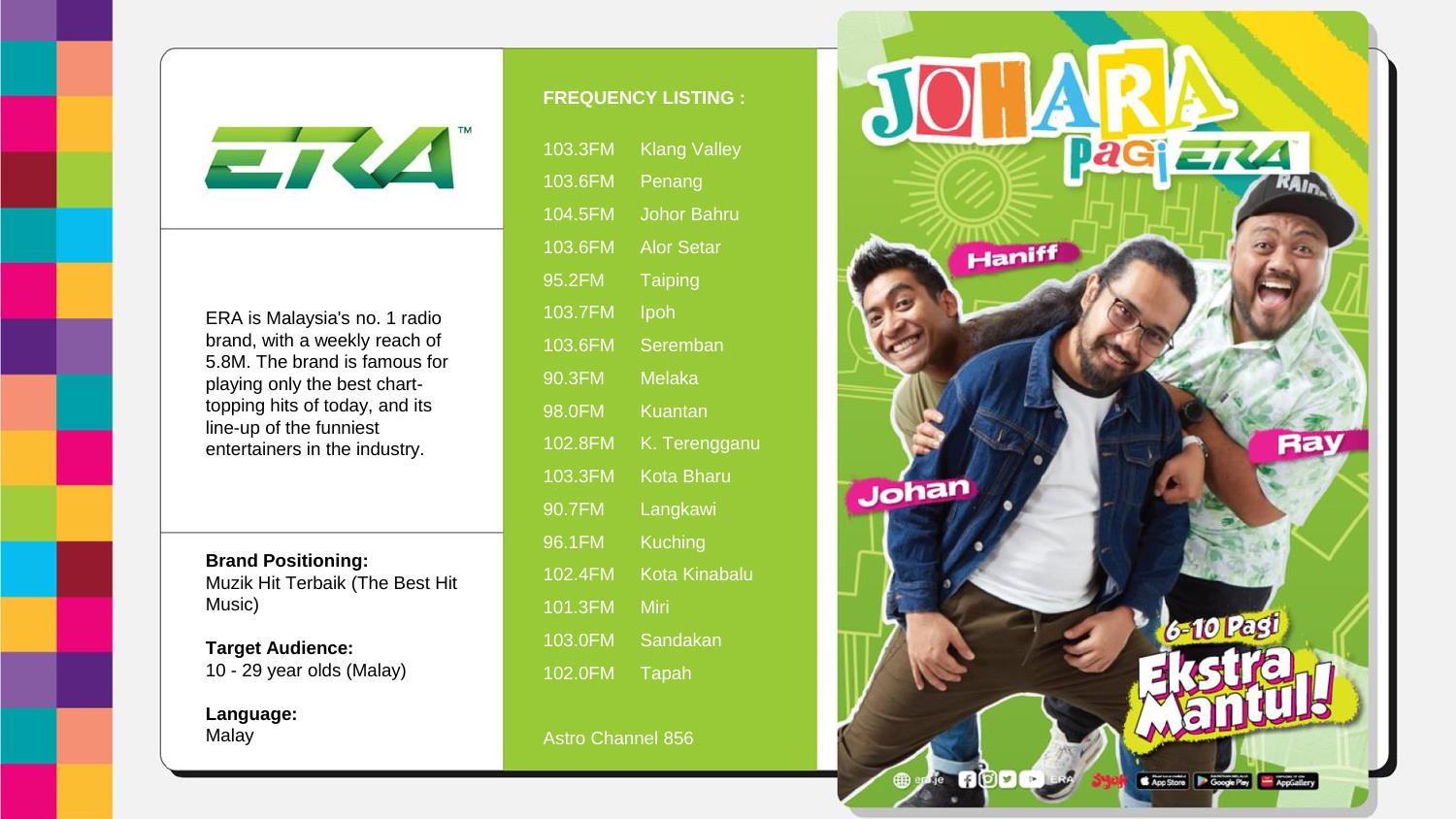ETZA

ERA is Malaysia's no. 1 radio brand, with a weekly reach of 5.8M. The brand is famous for playing only the best charttopping hits of today, and its line-up of the funniest entertainers in the industry.

**Brand Positioning:** Muzik Hit Terbaik (The Best Hit Music)

**Target Audience:** 10 - 29 year olds (Malay)

**Language:** Malay

## **FREQUENCY LISTING :**

| 103.3FM | <b>Klang Valley</b>  |
|---------|----------------------|
| 103.6FM | Penang               |
| 104.5FM | <b>Johor Bahru</b>   |
| 103.6FM | <b>Alor Setar</b>    |
| 95.2FM  | <b>Taiping</b>       |
| 103.7FM | Ipoh                 |
| 103.6FM | Seremban             |
| 90.3FM  | <b>Melaka</b>        |
| 98.0FM  | <b>Kuantan</b>       |
| 102.8FM | K. Terengganu        |
| 103.3FM | <b>Kota Bharu</b>    |
| 90.7FM  | Langkawi             |
| 96.1FM  | <b>Kuching</b>       |
| 102.4FM | <b>Kota Kinabalu</b> |
| 101.3FM | Miri                 |
| 103.0FM | Sandakan             |
| 102.0FM | Tapah                |
|         |                      |

Astro Channel 856

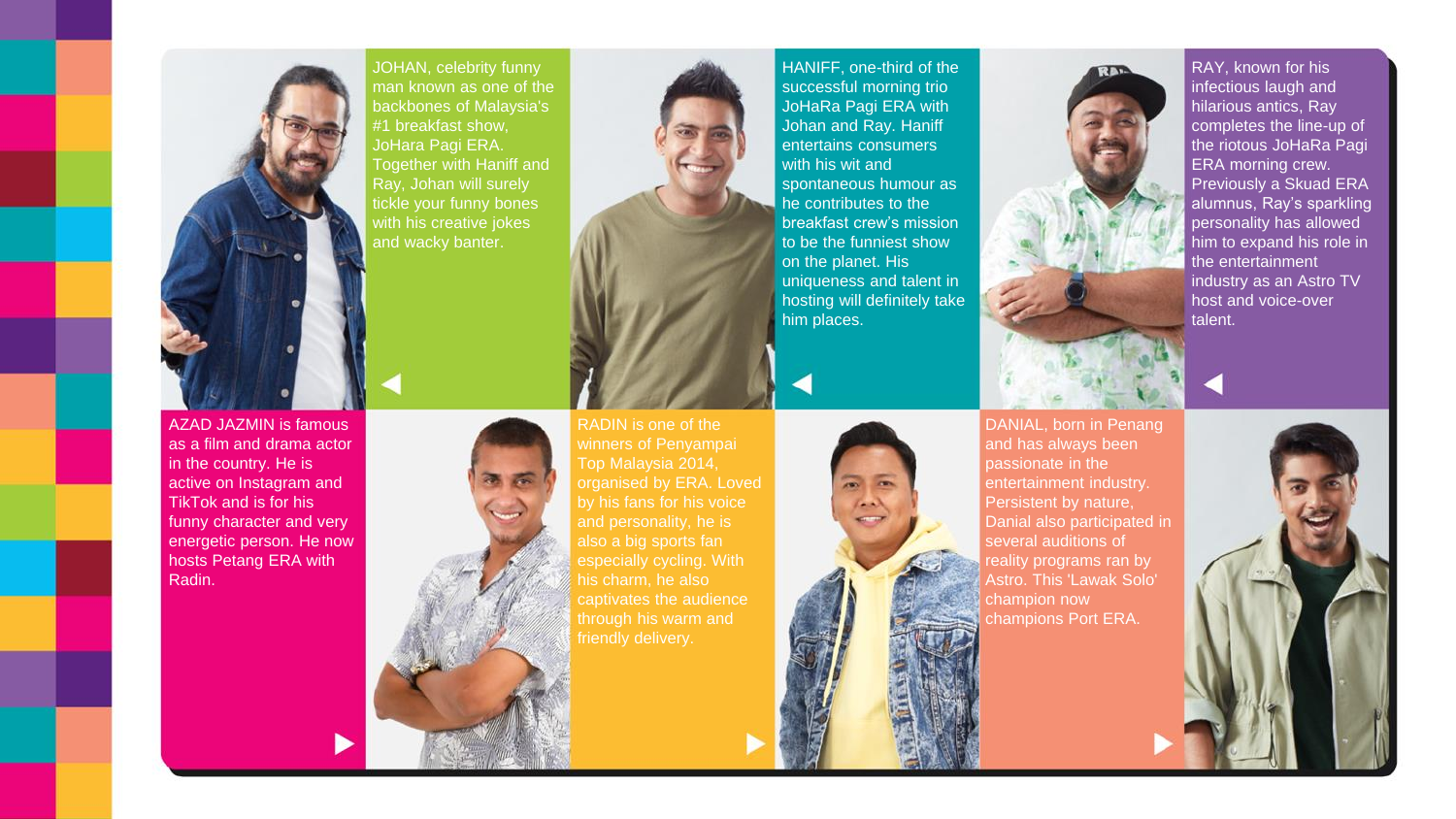

JOHAN, celebrity funny man known as one of the backbones of Malaysia's #1 breakfast show, JoHara Pagi ERA. Together with Haniff and Ray, Johan will surely tickle your funny bones with his creative jokes and wacky banter.

AZAD JAZMIN is famous as a film and drama actor in the country. He is active on Instagram and TikTok and is for his funny character and very energetic person. He now hosts Petang ERA with Radin.



HANIFF, one-third of the successful morning trio JoHaRa Pagi ERA with Johan and Ray. Haniff entertains consumers with his wit and spontaneous humour as he contributes to the breakfast crew's mission to be the funniest show on the planet. His uniqueness and talent in hosting will definitely take him places.



DANIAL, born in Penang and has always been passionate in the entertainment industry. Persistent by nature, Danial also participated in several auditions of reality programs ran by Astro. This 'Lawak Solo' champion now

RAY, known for his infectious laugh and hilarious antics, Ray completes the line-up of the riotous JoHaRa Pagi ERA morning crew. Previously a Skuad ERA alumnus, Ray's sparkling personality has allowed him to expand his role in the entertainment industry as an Astro TV host and voice-over talent.

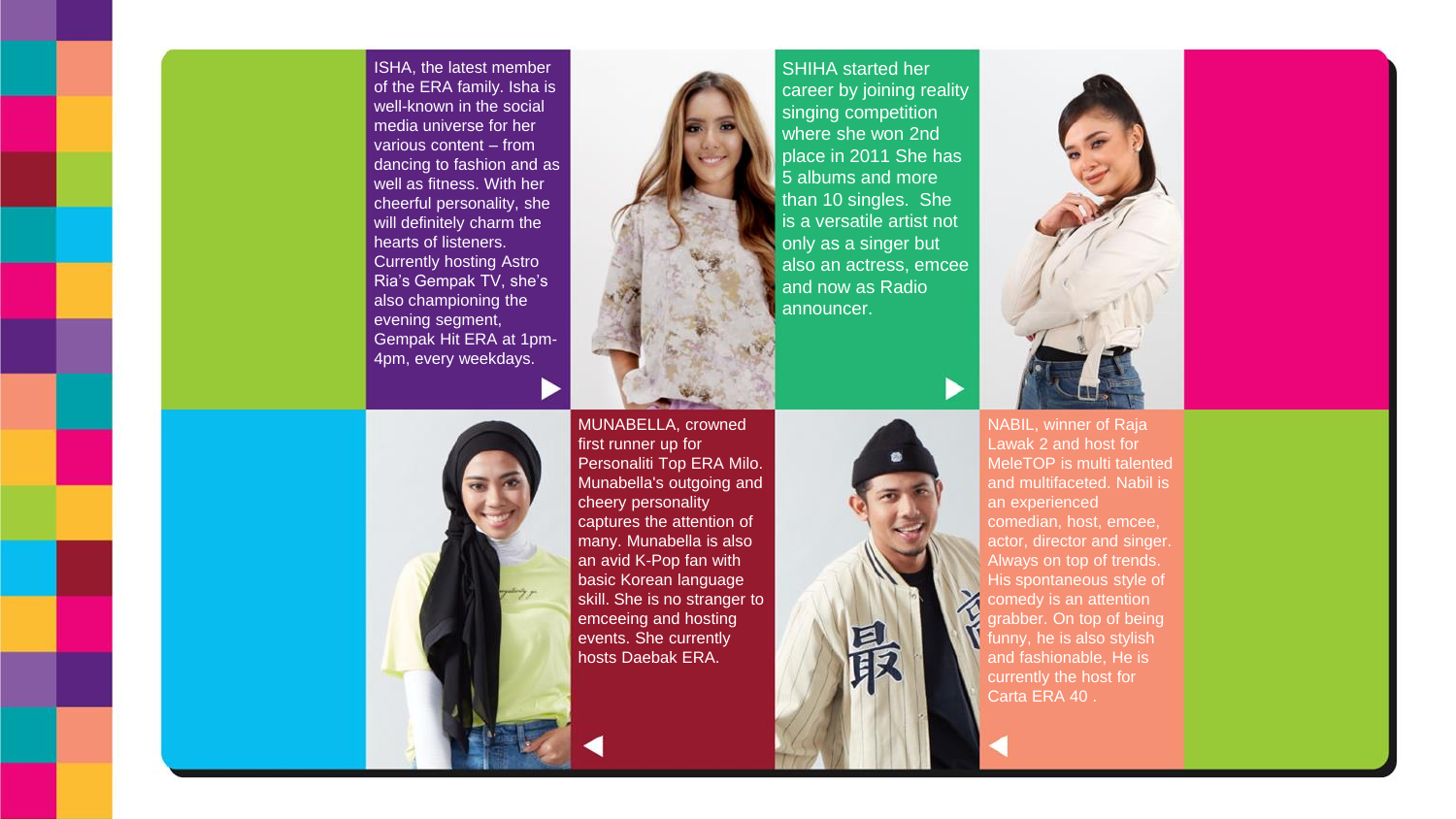ISHA, the latest member of the ERA family. Isha is well-known in the social media universe for her various content – from dancing to fashion and as well as fitness. With her cheerful personality, she will definitely charm the hearts of listeners. Currently hosting Astro Ria's Gempak TV, she's also championing the evening segment, Gempak Hit ERA at 1pm-4pm, every weekdays.



SHIHA started her career by joining reality singing competition where she won 2nd place in 2011 She has 5 albums and more than 10 singles. She is a versatile artist not only as a singer but also an actress, emcee and now as Radio announcer.



NABIL, winner of Raja Lawak 2 and host for MeleTOP is multi talented and multifaceted. Nabil is an experienced comedian, host, emcee,

actor, director and singer. Always on top of trends. His spontaneous style of comedy is an attention grabber. On top of being funny, he is also stylish and fashionable, He is currently the host for Carta ERA 40 .